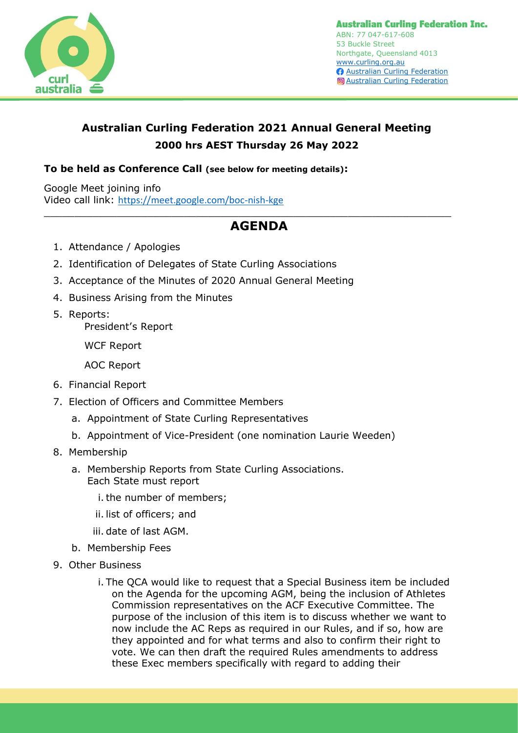

## **Australian Curling Federation 2021 Annual General Meeting 2000 hrs AEST Thursday 26 May 2022**

## **To be held as Conference Call (see below for meeting details):**

Google Meet joining info Video call link: <https://meet.google.com/boc-nish-kge>

## **AGENDA**

 $\_$  , and the contribution of the contribution of  $\mathcal{L}_\mathcal{A}$  , and the contribution of  $\mathcal{L}_\mathcal{A}$ 

- 1. Attendance / Apologies
- 2. Identification of Delegates of State Curling Associations
- 3. Acceptance of the Minutes of 2020 Annual General Meeting
- 4. Business Arising from the Minutes
- 5. Reports: President's Report

WCF Report

AOC Report

- 6. Financial Report
- 7. Election of Officers and Committee Members
	- a. Appointment of State Curling Representatives
	- b. Appointment of Vice-President (one nomination Laurie Weeden)
- 8. Membership
	- a. Membership Reports from State Curling Associations. Each State must report
		- i. the number of members;
		- ii. list of officers; and
		- iii. date of last AGM.
	- b. Membership Fees
- 9. Other Business
	- i. The QCA would like to request that a Special Business item be included on the Agenda for the upcoming AGM, being the inclusion of Athletes Commission representatives on the ACF Executive Committee. The purpose of the inclusion of this item is to discuss whether we want to now include the AC Reps as required in our Rules, and if so, how are they appointed and for what terms and also to confirm their right to vote. We can then draft the required Rules amendments to address these Exec members specifically with regard to adding their